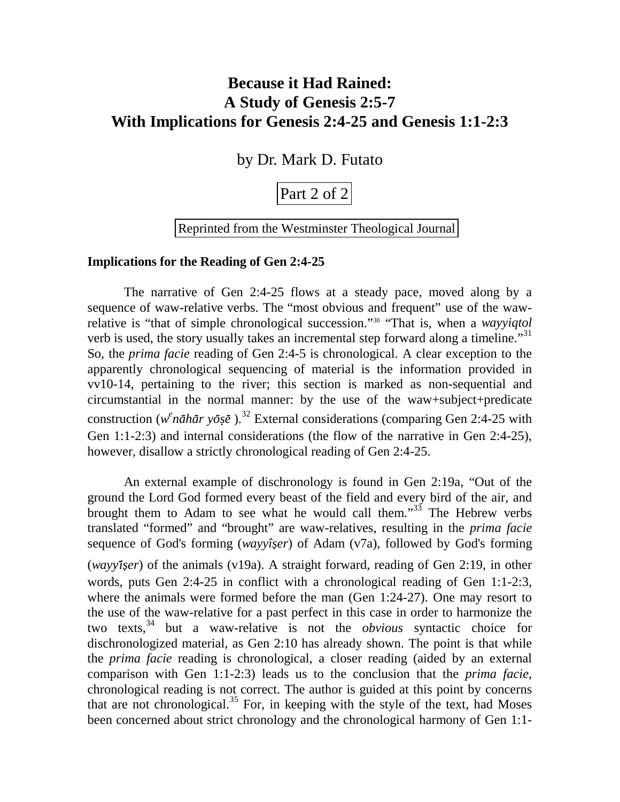# **Because it Had Rained: A Study of Genesis 2:5-7 With Implications for Genesis 2:4-25 and Genesis 1:1-2:3**

by Dr. Mark D. Futato

# Part 2 of 2

Reprinted from the Westminster Theological Journal

# **Implications for the Reading of Gen 2:4-25**

The narrative of Gen 2:4-25 flows at a steady pace, moved along by a sequence of waw-relative verbs. The "most obvious and frequent" use of the wawrelative is "that of simple chronological succession."30 "That is, when a *wayyiqtol* verb is used, the story usually takes an incremental step forward along a timeline.<sup>31</sup> So, the *prima facie* reading of Gen 2:4-5 is chronological. A clear exception to the apparently chronological sequencing of material is the information provided in vv10-14, pertaining to the river; this section is marked as non-sequential and circumstantial in the normal manner: by the use of the waw+subject+predicate construction (*w<sup>e</sup>nāhār yōṣē*).<sup>32</sup> External considerations (comparing Gen 2:4-25 with Gen 1:1-2:3) and internal considerations (the flow of the narrative in Gen 2:4-25), however, disallow a strictly chronological reading of Gen 2:4-25.

An external example of dischronology is found in Gen 2:19a, "Out of the ground the Lord God formed every beast of the field and every bird of the air, and brought them to Adam to see what he would call them.<sup> $33$ </sup> The Hebrew verbs translated "formed" and "brought" are waw-relatives, resulting in the *prima facie* sequence of God's forming (*wayyîşer*) of Adam (v7a), followed by God's forming (*wayyiser*) of the animals (v19a). A straight forward, reading of Gen 2:19, in other words, puts Gen 2:4-25 in conflict with a chronological reading of Gen 1:1-2:3, where the animals were formed before the man (Gen 1:24-27). One may resort to the use of the waw-relative for a past perfect in this case in order to harmonize the two texts,34 but a waw-relative is not the *obvious* syntactic choice for dischronologized material, as Gen 2:10 has already shown. The point is that while the *prima facie* reading is chronological, a closer reading (aided by an external comparison with Gen 1:1-2:3) leads us to the conclusion that the *prima facie*, chronological reading is not correct. The author is guided at this point by concerns that are not chronological.<sup>35</sup> For, in keeping with the style of the text, had Moses been concerned about strict chronology and the chronological harmony of Gen 1:1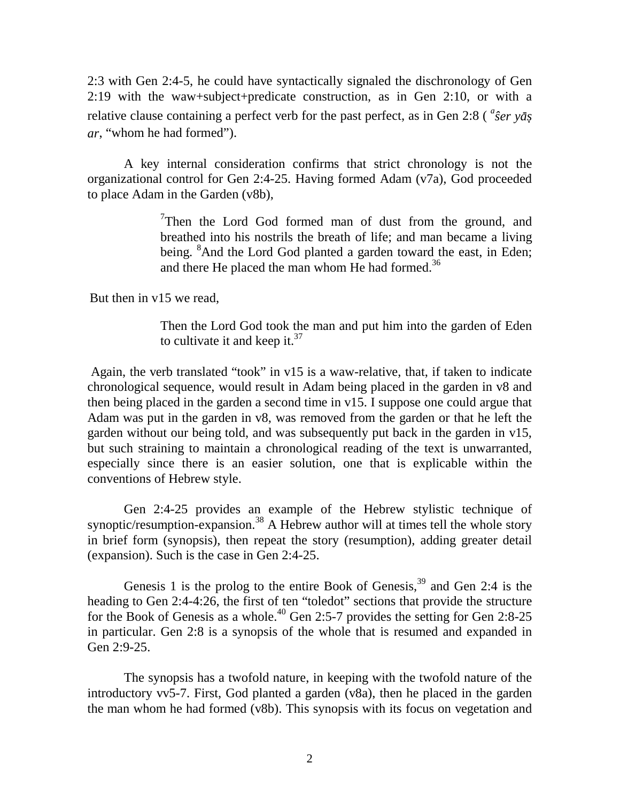2:3 with Gen 2:4-5, he could have syntactically signaled the dischronology of Gen 2:19 with the waw+subject+predicate construction, as in Gen 2:10, or with a relative clause containing a perfect verb for the past perfect, as in Gen 2:8 (<sup>a</sup> s<sup>*e*</sup> y as *ar*, "whom he had formed").

A key internal consideration confirms that strict chronology is not the organizational control for Gen 2:4-25. Having formed Adam (v7a), God proceeded to place Adam in the Garden (v8b),

> $7$ Then the Lord God formed man of dust from the ground, and breathed into his nostrils the breath of life; and man became a living being. <sup>8</sup>And the Lord God planted a garden toward the east, in Eden; and there He placed the man whom He had formed.<sup>36</sup>

But then in v15 we read,

Then the Lord God took the man and put him into the garden of Eden to cultivate it and keep it. $37$ 

 Again, the verb translated "took" in v15 is a waw-relative, that, if taken to indicate chronological sequence, would result in Adam being placed in the garden in v8 and then being placed in the garden a second time in v15. I suppose one could argue that Adam was put in the garden in v8, was removed from the garden or that he left the garden without our being told, and was subsequently put back in the garden in v15, but such straining to maintain a chronological reading of the text is unwarranted, especially since there is an easier solution, one that is explicable within the conventions of Hebrew style.

Gen 2:4-25 provides an example of the Hebrew stylistic technique of synoptic/resumption-expansion.<sup>38</sup> A Hebrew author will at times tell the whole story in brief form (synopsis), then repeat the story (resumption), adding greater detail (expansion). Such is the case in Gen 2:4-25.

Genesis 1 is the prolog to the entire Book of Genesis,  $39$  and Gen 2:4 is the heading to Gen 2:4-4:26, the first of ten "toledot" sections that provide the structure for the Book of Genesis as a whole.<sup>40</sup> Gen 2:5-7 provides the setting for Gen 2:8-25 in particular. Gen 2:8 is a synopsis of the whole that is resumed and expanded in Gen 2:9-25.

The synopsis has a twofold nature, in keeping with the twofold nature of the introductory vv5-7. First, God planted a garden (v8a), then he placed in the garden the man whom he had formed (v8b). This synopsis with its focus on vegetation and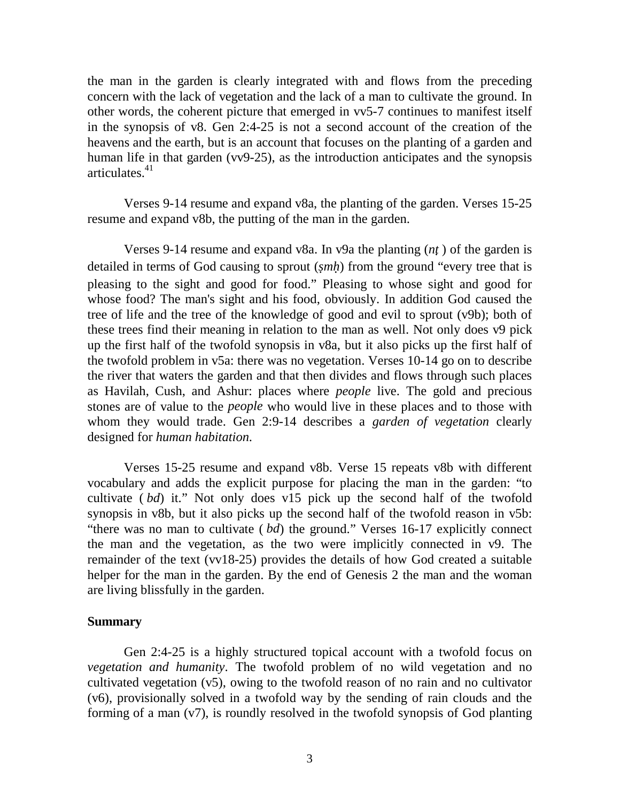the man in the garden is clearly integrated with and flows from the preceding concern with the lack of vegetation and the lack of a man to cultivate the ground. In other words, the coherent picture that emerged in vv5-7 continues to manifest itself in the synopsis of v8. Gen 2:4-25 is not a second account of the creation of the heavens and the earth, but is an account that focuses on the planting of a garden and human life in that garden (vv9-25), as the introduction anticipates and the synopsis articulates.<sup>41</sup>

Verses 9-14 resume and expand v8a, the planting of the garden. Verses 15-25 resume and expand v8b, the putting of the man in the garden.

Verses 9-14 resume and expand v8a. In v9a the planting (*nt.* ) of the garden is detailed in terms of God causing to sprout (*smh*) from the ground "every tree that is pleasing to the sight and good for food." Pleasing to whose sight and good for whose food? The man's sight and his food, obviously. In addition God caused the tree of life and the tree of the knowledge of good and evil to sprout (v9b); both of these trees find their meaning in relation to the man as well. Not only does v9 pick up the first half of the twofold synopsis in v8a, but it also picks up the first half of the twofold problem in v5a: there was no vegetation. Verses 10-14 go on to describe the river that waters the garden and that then divides and flows through such places as Havilah, Cush, and Ashur: places where *people* live. The gold and precious stones are of value to the *people* who would live in these places and to those with whom they would trade. Gen 2:9-14 describes a *garden of vegetation* clearly designed for *human habitation*.

Verses 15-25 resume and expand v8b. Verse 15 repeats v8b with different vocabulary and adds the explicit purpose for placing the man in the garden: "to cultivate ( *bd*) it." Not only does v15 pick up the second half of the twofold synopsis in v8b, but it also picks up the second half of the twofold reason in v5b: "there was no man to cultivate ( *bd*) the ground." Verses 16-17 explicitly connect the man and the vegetation, as the two were implicitly connected in v9. The remainder of the text (vv18-25) provides the details of how God created a suitable helper for the man in the garden. By the end of Genesis 2 the man and the woman are living blissfully in the garden.

# **Summary**

Gen 2:4-25 is a highly structured topical account with a twofold focus on *vegetation and humanity*. The twofold problem of no wild vegetation and no cultivated vegetation (v5), owing to the twofold reason of no rain and no cultivator (v6), provisionally solved in a twofold way by the sending of rain clouds and the forming of a man (v7), is roundly resolved in the twofold synopsis of God planting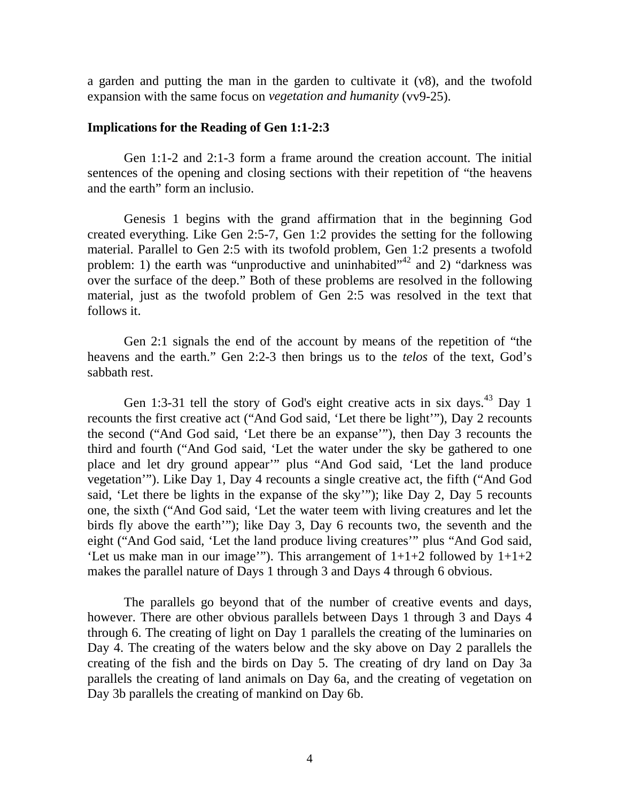a garden and putting the man in the garden to cultivate it (v8), and the twofold expansion with the same focus on *vegetation and humanity* (vv9-25).

#### **Implications for the Reading of Gen 1:1-2:3**

Gen 1:1-2 and 2:1-3 form a frame around the creation account. The initial sentences of the opening and closing sections with their repetition of "the heavens and the earth" form an inclusio.

Genesis 1 begins with the grand affirmation that in the beginning God created everything. Like Gen 2:5-7, Gen 1:2 provides the setting for the following material. Parallel to Gen 2:5 with its twofold problem, Gen 1:2 presents a twofold problem: 1) the earth was "unproductive and uninhabited"<sup>42</sup> and 2) "darkness was over the surface of the deep." Both of these problems are resolved in the following material, just as the twofold problem of Gen 2:5 was resolved in the text that follows it.

Gen 2:1 signals the end of the account by means of the repetition of "the heavens and the earth." Gen 2:2-3 then brings us to the *telos* of the text, God's sabbath rest.

Gen 1:3-31 tell the story of God's eight creative acts in six days.<sup>43</sup> Day 1 recounts the first creative act ("And God said, 'Let there be light'"), Day 2 recounts the second ("And God said, 'Let there be an expanse'"), then Day 3 recounts the third and fourth ("And God said, 'Let the water under the sky be gathered to one place and let dry ground appear'" plus "And God said, 'Let the land produce vegetation'"). Like Day 1, Day 4 recounts a single creative act, the fifth ("And God said, 'Let there be lights in the expanse of the sky'"); like Day 2, Day 5 recounts one, the sixth ("And God said, 'Let the water teem with living creatures and let the birds fly above the earth'"); like Day 3, Day 6 recounts two, the seventh and the eight ("And God said, 'Let the land produce living creatures'" plus "And God said, 'Let us make man in our image'"). This arrangement of  $1+1+2$  followed by  $1+1+2$ makes the parallel nature of Days 1 through 3 and Days 4 through 6 obvious.

The parallels go beyond that of the number of creative events and days, however. There are other obvious parallels between Days 1 through 3 and Days 4 through 6. The creating of light on Day 1 parallels the creating of the luminaries on Day 4. The creating of the waters below and the sky above on Day 2 parallels the creating of the fish and the birds on Day 5. The creating of dry land on Day 3a parallels the creating of land animals on Day 6a, and the creating of vegetation on Day 3b parallels the creating of mankind on Day 6b.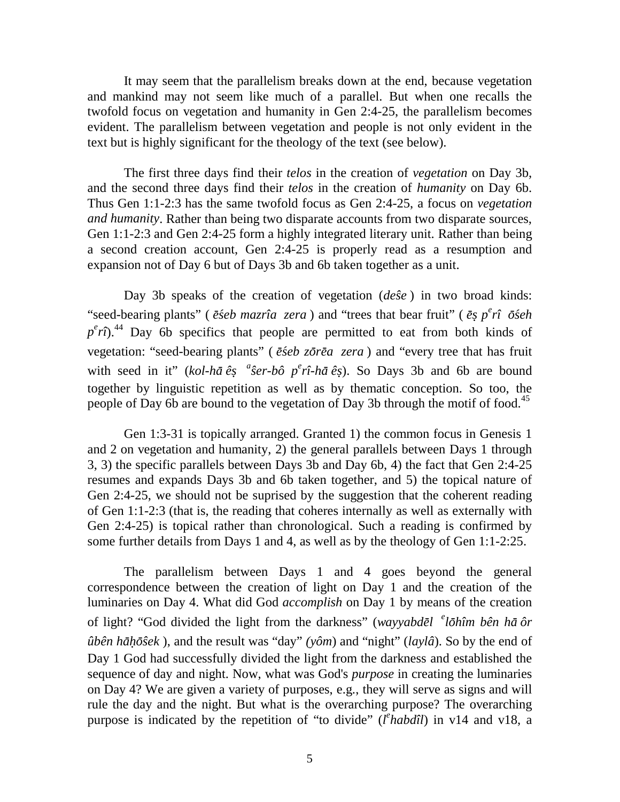It may seem that the parallelism breaks down at the end, because vegetation and mankind may not seem like much of a parallel. But when one recalls the twofold focus on vegetation and humanity in Gen 2:4-25, the parallelism becomes evident. The parallelism between vegetation and people is not only evident in the text but is highly significant for the theology of the text (see below).

The first three days find their *telos* in the creation of *vegetation* on Day 3b, and the second three days find their *telos* in the creation of *humanity* on Day 6b. Thus Gen 1:1-2:3 has the same twofold focus as Gen 2:4-25, a focus on *vegetation and humanity*. Rather than being two disparate accounts from two disparate sources, Gen 1:1-2:3 and Gen 2:4-25 form a highly integrated literary unit. Rather than being a second creation account, Gen 2:4-25 is properly read as a resumption and expansion not of Day 6 but of Days 3b and 6b taken together as a unit.

Day 3b speaks of the creation of vegetation (*dese*) in two broad kinds: "seed-bearing plants" (*eseb mazrîa zera*) and "trees that bear fruit" (*es. p<sup>e</sup>rî oseh*  $p^e r \hat{\imath}$ ).<sup>44</sup> Day 6b specifics that people are permitted to eat from both kinds of vegetation: "seed-bearing plants" (*ē séeb zōrēa zera*) and "every tree that has fruit with seed in it" (*kol-hā êş.* <sup>*a*</sup> *ŝer-bô p<sup><i>e*</sup> rî-hā êş). So Days 3b and 6b are bound together by linguistic repetition as well as by thematic conception. So too, the people of Day 6b are bound to the vegetation of Day 3b through the motif of food.<sup>45</sup>

Gen 1:3-31 is topically arranged. Granted 1) the common focus in Genesis 1 and 2 on vegetation and humanity, 2) the general parallels between Days 1 through 3, 3) the specific parallels between Days 3b and Day 6b, 4) the fact that Gen 2:4-25 resumes and expands Days 3b and 6b taken together, and 5) the topical nature of Gen 2:4-25, we should not be suprised by the suggestion that the coherent reading of Gen 1:1-2:3 (that is, the reading that coheres internally as well as externally with Gen 2:4-25) is topical rather than chronological. Such a reading is confirmed by some further details from Days 1 and 4, as well as by the theology of Gen 1:1-2:25.

The parallelism between Days 1 and 4 goes beyond the general correspondence between the creation of light on Day 1 and the creation of the luminaries on Day 4. What did God *accomplish* on Day 1 by means of the creation of light? "God divided the light from the darkness" (wayyabdēl <sup>e</sup>lōhîm bên hā ôr *ûbên hāḥōŝek*), and the result was "day" *(yôm)* and "night" *(laylâ)*. So by the end of Day 1 God had successfully divided the light from the darkness and established the sequence of day and night. Now, what was God's *purpose* in creating the luminaries on Day 4? We are given a variety of purposes, e.g., they will serve as signs and will rule the day and the night. But what is the overarching purpose? The overarching purpose is indicated by the repetition of "to divide" (*l e habdîl*) in v14 and v18, a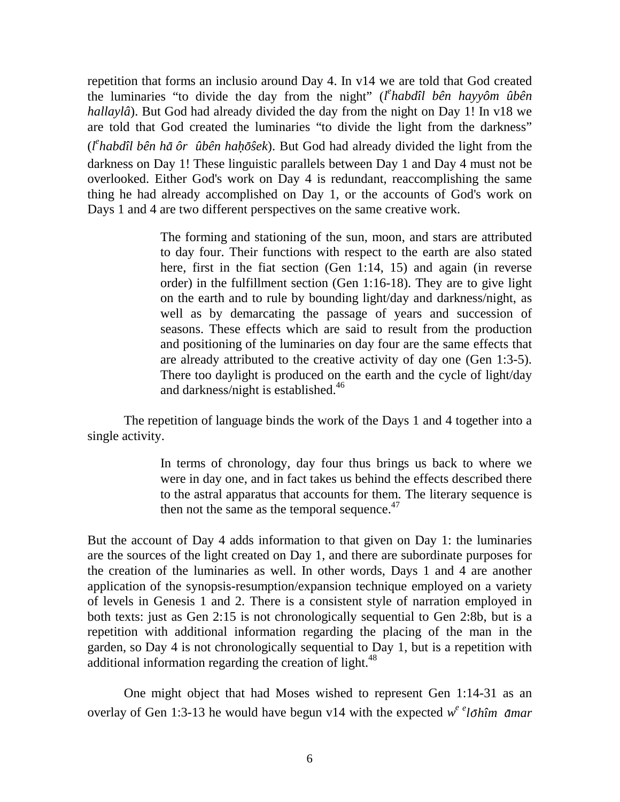repetition that forms an inclusio around Day 4. In v14 we are told that God created the luminaries "to divide the day from the night" (l<sup>e</sup>habdîl bên hayyôm ûbên *hallaylâ*). But God had already divided the day from the night on Day 1! In v18 we are told that God created the luminaries "to divide the light from the darkness" (l<sup>e</sup>habdîl bên hā ôr ûbên haḥōŝek). But God had already divided the light from the darkness on Day 1! These linguistic parallels between Day 1 and Day 4 must not be overlooked. Either God's work on Day 4 is redundant, reaccomplishing the same thing he had already accomplished on Day 1, or the accounts of God's work on Days 1 and 4 are two different perspectives on the same creative work.

> The forming and stationing of the sun, moon, and stars are attributed to day four. Their functions with respect to the earth are also stated here, first in the fiat section (Gen 1:14, 15) and again (in reverse order) in the fulfillment section (Gen 1:16-18). They are to give light on the earth and to rule by bounding light/day and darkness/night, as well as by demarcating the passage of years and succession of seasons. These effects which are said to result from the production and positioning of the luminaries on day four are the same effects that are already attributed to the creative activity of day one (Gen 1:3-5). There too daylight is produced on the earth and the cycle of light/day and darkness/night is established. $46$

The repetition of language binds the work of the Days 1 and 4 together into a single activity.

> In terms of chronology, day four thus brings us back to where we were in day one, and in fact takes us behind the effects described there to the astral apparatus that accounts for them. The literary sequence is then not the same as the temporal sequence.<sup>47</sup>

But the account of Day 4 adds information to that given on Day 1: the luminaries are the sources of the light created on Day 1, and there are subordinate purposes for the creation of the luminaries as well. In other words, Days 1 and 4 are another application of the synopsis-resumption/expansion technique employed on a variety of levels in Genesis 1 and 2. There is a consistent style of narration employed in both texts: just as Gen 2:15 is not chronologically sequential to Gen 2:8b, but is a repetition with additional information regarding the placing of the man in the garden, so Day 4 is not chronologically sequential to Day 1, but is a repetition with additional information regarding the creation of light.<sup>48</sup>

One might object that had Moses wished to represent Gen 1:14-31 as an overlay of Gen 1:3-13 he would have begun v14 with the expected  $w^e$ <sup>e</sup>lohîm amar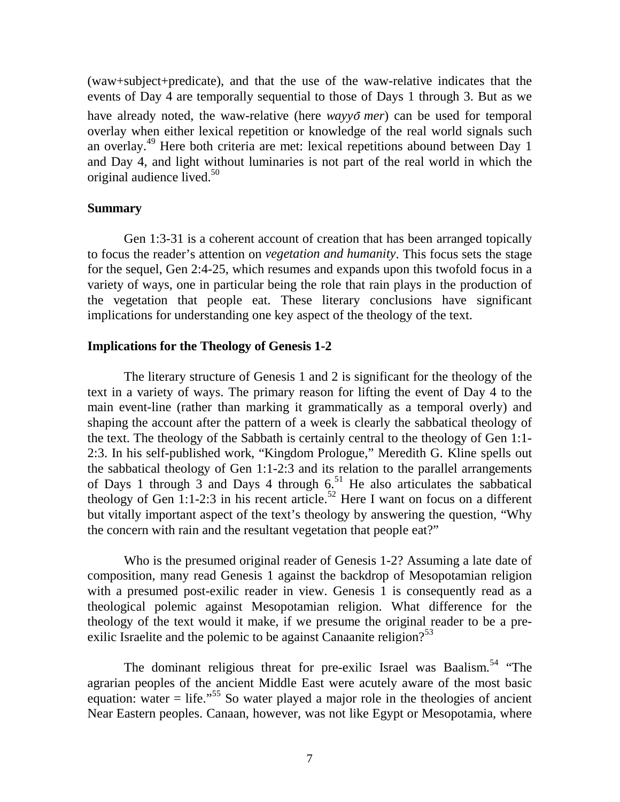(waw+subject+predicate), and that the use of the waw-relative indicates that the events of Day 4 are temporally sequential to those of Days 1 through 3. But as we have already noted, the waw-relative (here *wayyomer*) can be used for temporal overlay when either lexical repetition or knowledge of the real world signals such an overlay.49 Here both criteria are met: lexical repetitions abound between Day 1 and Day 4, and light without luminaries is not part of the real world in which the original audience lived.50

### **Summary**

Gen 1:3-31 is a coherent account of creation that has been arranged topically to focus the reader's attention on *vegetation and humanity*. This focus sets the stage for the sequel, Gen 2:4-25, which resumes and expands upon this twofold focus in a variety of ways, one in particular being the role that rain plays in the production of the vegetation that people eat. These literary conclusions have significant implications for understanding one key aspect of the theology of the text.

## **Implications for the Theology of Genesis 1-2**

The literary structure of Genesis 1 and 2 is significant for the theology of the text in a variety of ways. The primary reason for lifting the event of Day 4 to the main event-line (rather than marking it grammatically as a temporal overly) and shaping the account after the pattern of a week is clearly the sabbatical theology of the text. The theology of the Sabbath is certainly central to the theology of Gen 1:1- 2:3. In his self-published work, "Kingdom Prologue," Meredith G. Kline spells out the sabbatical theology of Gen 1:1-2:3 and its relation to the parallel arrangements of Days 1 through  $3$  and Days 4 through  $6<sup>51</sup>$  He also articulates the sabbatical theology of Gen  $1:1-2:3$  in his recent article.<sup>52</sup> Here I want on focus on a different but vitally important aspect of the text's theology by answering the question, "Why the concern with rain and the resultant vegetation that people eat?"

Who is the presumed original reader of Genesis 1-2? Assuming a late date of composition, many read Genesis 1 against the backdrop of Mesopotamian religion with a presumed post-exilic reader in view. Genesis 1 is consequently read as a theological polemic against Mesopotamian religion. What difference for the theology of the text would it make, if we presume the original reader to be a preexilic Israelite and the polemic to be against Canaanite religion?<sup>53</sup>

The dominant religious threat for pre-exilic Israel was Baalism.<sup>54</sup> "The agrarian peoples of the ancient Middle East were acutely aware of the most basic equation: water = life.<sup> $55$ </sup> So water played a major role in the theologies of ancient Near Eastern peoples. Canaan, however, was not like Egypt or Mesopotamia, where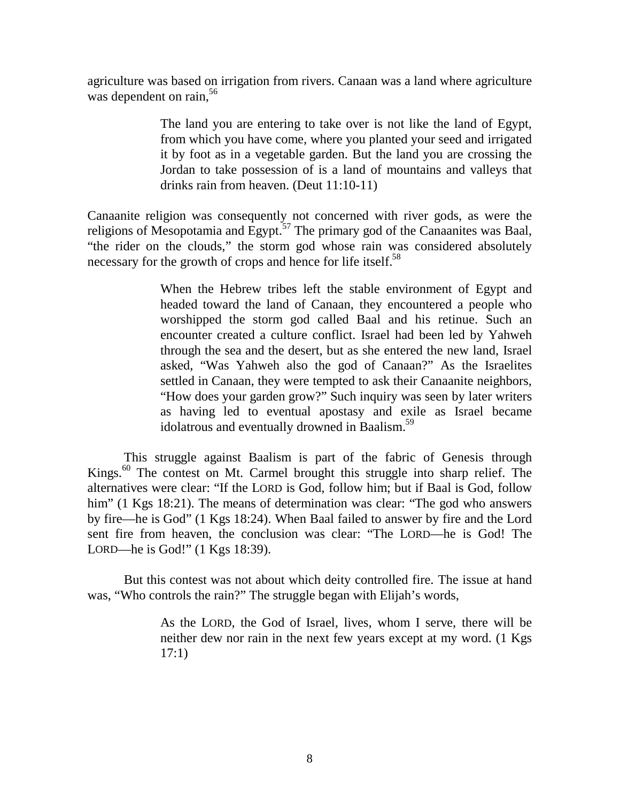agriculture was based on irrigation from rivers. Canaan was a land where agriculture was dependent on rain.  $56$ 

> The land you are entering to take over is not like the land of Egypt, from which you have come, where you planted your seed and irrigated it by foot as in a vegetable garden. But the land you are crossing the Jordan to take possession of is a land of mountains and valleys that drinks rain from heaven. (Deut 11:10-11)

Canaanite religion was consequently not concerned with river gods, as were the religions of Mesopotamia and Egypt.<sup>57</sup> The primary god of the Canaanites was Baal, "the rider on the clouds," the storm god whose rain was considered absolutely necessary for the growth of crops and hence for life itself.<sup>58</sup>

> When the Hebrew tribes left the stable environment of Egypt and headed toward the land of Canaan, they encountered a people who worshipped the storm god called Baal and his retinue. Such an encounter created a culture conflict. Israel had been led by Yahweh through the sea and the desert, but as she entered the new land, Israel asked, "Was Yahweh also the god of Canaan?" As the Israelites settled in Canaan, they were tempted to ask their Canaanite neighbors, "How does your garden grow?" Such inquiry was seen by later writers as having led to eventual apostasy and exile as Israel became idolatrous and eventually drowned in Baalism.<sup>59</sup>

This struggle against Baalism is part of the fabric of Genesis through Kings.<sup>60</sup> The contest on Mt. Carmel brought this struggle into sharp relief. The alternatives were clear: "If the LORD is God, follow him; but if Baal is God, follow him" (1 Kgs 18:21). The means of determination was clear: "The god who answers by fire—he is God" (1 Kgs 18:24). When Baal failed to answer by fire and the Lord sent fire from heaven, the conclusion was clear: "The LORD—he is God! The LORD—he is God!" (1 Kgs 18:39).

But this contest was not about which deity controlled fire. The issue at hand was, "Who controls the rain?" The struggle began with Elijah's words,

> As the LORD, the God of Israel, lives, whom I serve, there will be neither dew nor rain in the next few years except at my word. (1 Kgs 17:1)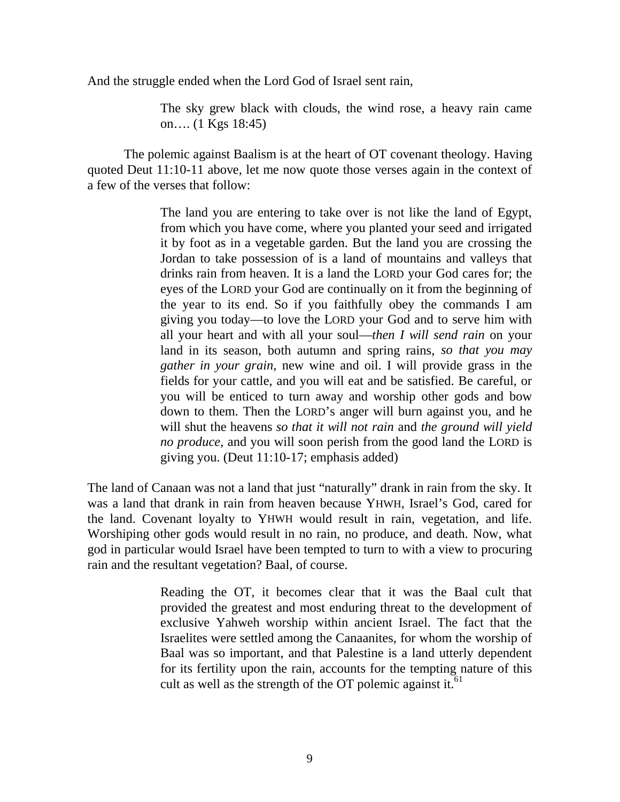And the struggle ended when the Lord God of Israel sent rain,

The sky grew black with clouds, the wind rose, a heavy rain came on…. (1 Kgs 18:45)

The polemic against Baalism is at the heart of OT covenant theology. Having quoted Deut 11:10-11 above, let me now quote those verses again in the context of a few of the verses that follow:

> The land you are entering to take over is not like the land of Egypt, from which you have come, where you planted your seed and irrigated it by foot as in a vegetable garden. But the land you are crossing the Jordan to take possession of is a land of mountains and valleys that drinks rain from heaven. It is a land the LORD your God cares for; the eyes of the LORD your God are continually on it from the beginning of the year to its end. So if you faithfully obey the commands I am giving you today—to love the LORD your God and to serve him with all your heart and with all your soul—*then I will send rain* on your land in its season, both autumn and spring rains, *so that you may gather in your grain*, new wine and oil. I will provide grass in the fields for your cattle, and you will eat and be satisfied. Be careful, or you will be enticed to turn away and worship other gods and bow down to them. Then the LORD's anger will burn against you, and he will shut the heavens *so that it will not rain* and *the ground will yield no produce*, and you will soon perish from the good land the LORD is giving you. (Deut 11:10-17; emphasis added)

The land of Canaan was not a land that just "naturally" drank in rain from the sky. It was a land that drank in rain from heaven because YHWH, Israel's God, cared for the land. Covenant loyalty to YHWH would result in rain, vegetation, and life. Worshiping other gods would result in no rain, no produce, and death. Now, what god in particular would Israel have been tempted to turn to with a view to procuring rain and the resultant vegetation? Baal, of course.

> Reading the OT, it becomes clear that it was the Baal cult that provided the greatest and most enduring threat to the development of exclusive Yahweh worship within ancient Israel. The fact that the Israelites were settled among the Canaanites, for whom the worship of Baal was so important, and that Palestine is a land utterly dependent for its fertility upon the rain, accounts for the tempting nature of this cult as well as the strength of the OT polemic against it.<sup>61</sup>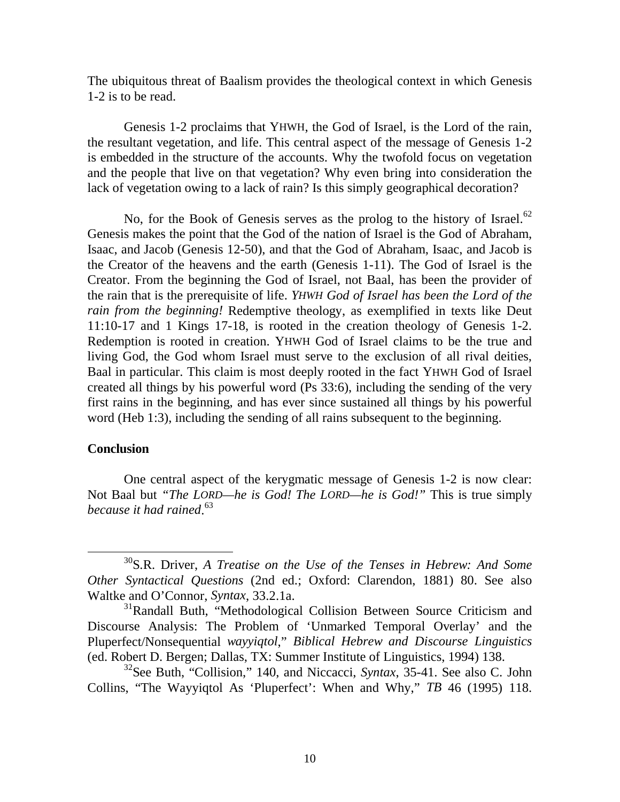The ubiquitous threat of Baalism provides the theological context in which Genesis 1-2 is to be read.

Genesis 1-2 proclaims that YHWH, the God of Israel, is the Lord of the rain, the resultant vegetation, and life. This central aspect of the message of Genesis 1-2 is embedded in the structure of the accounts. Why the twofold focus on vegetation and the people that live on that vegetation? Why even bring into consideration the lack of vegetation owing to a lack of rain? Is this simply geographical decoration?

No, for the Book of Genesis serves as the prolog to the history of Israel.<sup>62</sup> Genesis makes the point that the God of the nation of Israel is the God of Abraham, Isaac, and Jacob (Genesis 12-50), and that the God of Abraham, Isaac, and Jacob is the Creator of the heavens and the earth (Genesis 1-11). The God of Israel is the Creator. From the beginning the God of Israel, not Baal, has been the provider of the rain that is the prerequisite of life. *YHWH God of Israel has been the Lord of the rain from the beginning!* Redemptive theology, as exemplified in texts like Deut 11:10-17 and 1 Kings 17-18, is rooted in the creation theology of Genesis 1-2. Redemption is rooted in creation. YHWH God of Israel claims to be the true and living God, the God whom Israel must serve to the exclusion of all rival deities, Baal in particular. This claim is most deeply rooted in the fact YHWH God of Israel created all things by his powerful word (Ps 33:6), including the sending of the very first rains in the beginning, and has ever since sustained all things by his powerful word (Heb 1:3), including the sending of all rains subsequent to the beginning.

# **Conclusion**

One central aspect of the kerygmatic message of Genesis 1-2 is now clear: Not Baal but *"The LORD—he is God! The LORD—he is God!"* This is true simply *because it had rained*. 63

 <sup>30</sup>S.R. Driver, *A Treatise on the Use of the Tenses in Hebrew: And Some Other Syntactical Questions* (2nd ed.; Oxford: Clarendon, 1881) 80. See also Waltke and O'Connor, *Syntax*, 33.2.1a.

<sup>&</sup>lt;sup>31</sup>Randall Buth, "Methodological Collision Between Source Criticism and Discourse Analysis: The Problem of 'Unmarked Temporal Overlay' and the Pluperfect/Nonsequential *wayyiqtol*," *Biblical Hebrew and Discourse Linguistics* (ed. Robert D. Bergen; Dallas, TX: Summer Institute of Linguistics, 1994) 138.

<sup>32</sup>See Buth, "Collision," 140, and Niccacci, *Syntax*, 35-41. See also C. John Collins, "The Wayyiqtol As 'Pluperfect': When and Why," *TB* 46 (1995) 118.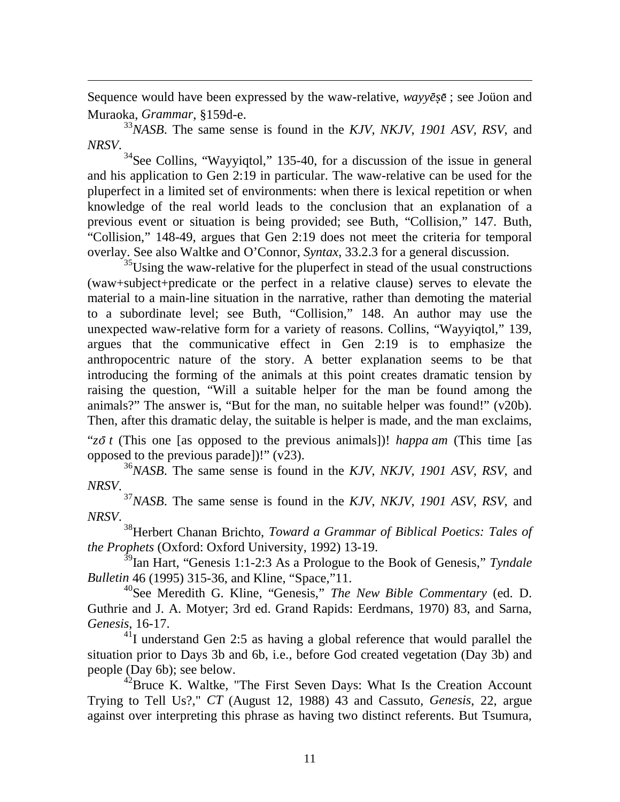Sequence would have been expressed by the waw-relative, wayyes ; see Joüon and Muraoka, *Grammar*, §159d-e.

-

<sup>33</sup>*NASB*. The same sense is found in the *KJV*, *NKJV*, *1901 ASV*, *RSV*, and *NRSV*.

<sup>34</sup>See Collins, "Wayyiqtol," 135-40, for a discussion of the issue in general and his application to Gen 2:19 in particular. The waw-relative can be used for the pluperfect in a limited set of environments: when there is lexical repetition or when knowledge of the real world leads to the conclusion that an explanation of a previous event or situation is being provided; see Buth, "Collision," 147. Buth, "Collision," 148-49, argues that Gen 2:19 does not meet the criteria for temporal overlay. See also Waltke and O'Connor, *Syntax*, 33.2.3 for a general discussion.

 $35$ Using the waw-relative for the pluperfect in stead of the usual constructions (waw+subject+predicate or the perfect in a relative clause) serves to elevate the material to a main-line situation in the narrative, rather than demoting the material to a subordinate level; see Buth, "Collision," 148. An author may use the unexpected waw-relative form for a variety of reasons. Collins, "Wayyiqtol," 139, argues that the communicative effect in Gen 2:19 is to emphasize the anthropocentric nature of the story. A better explanation seems to be that introducing the forming of the animals at this point creates dramatic tension by raising the question, "Will a suitable helper for the man be found among the animals?" The answer is, "But for the man, no suitable helper was found!" (v20b). Then, after this dramatic delay, the suitable is helper is made, and the man exclaims,

" $z\bar{o}$  *t* (This one [as opposed to the previous animals])! *happa am* (This time [as opposed to the previous parade])!"  $(v23)$ .

<sup>36</sup>*NASB*. The same sense is found in the *KJV*, *NKJV*, *1901 ASV*, *RSV*, and *NRSV*.

<sup>37</sup>*NASB*. The same sense is found in the *KJV*, *NKJV*, *1901 ASV*, *RSV*, and *NRSV*.

38Herbert Chanan Brichto, *Toward a Grammar of Biblical Poetics: Tales of the Prophets* (Oxford: Oxford University, 1992) 13-19.

39Ian Hart, "Genesis 1:1-2:3 As a Prologue to the Book of Genesis," *Tyndale Bulletin* 46 (1995) 315-36, and Kline, "Space,"11.

40See Meredith G. Kline, "Genesis," *The New Bible Commentary* (ed. D. Guthrie and J. A. Motyer; 3rd ed. Grand Rapids: Eerdmans, 1970) 83, and Sarna, *Genesis*, 16-17.

 $^{41}$ I understand Gen 2:5 as having a global reference that would parallel the situation prior to Days 3b and 6b, i.e., before God created vegetation (Day 3b) and people (Day 6b); see below.

 $42^2$ Bruce K. Waltke, "The First Seven Days: What Is the Creation Account Trying to Tell Us?," *CT* (August 12, 1988) 43 and Cassuto, *Genesis*, 22, argue against over interpreting this phrase as having two distinct referents. But Tsumura,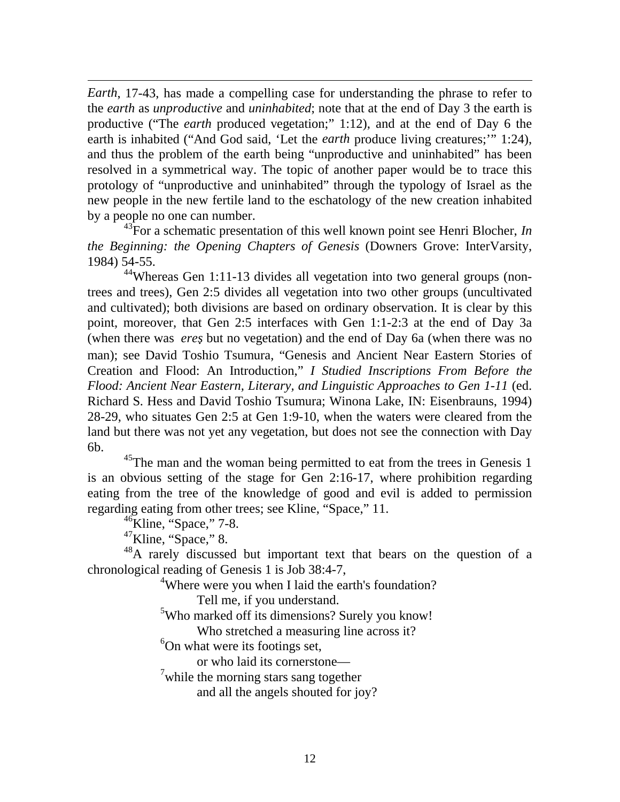*Earth*, 17-43, has made a compelling case for understanding the phrase to refer to the *earth* as *unproductive* and *uninhabited*; note that at the end of Day 3 the earth is productive ("The *earth* produced vegetation;" 1:12), and at the end of Day 6 the earth is inhabited ("And God said, 'Let the *earth* produce living creatures;" 1:24), and thus the problem of the earth being "unproductive and uninhabited" has been resolved in a symmetrical way. The topic of another paper would be to trace this protology of "unproductive and uninhabited" through the typology of Israel as the new people in the new fertile land to the eschatology of the new creation inhabited by a people no one can number.

 $^{43}$ For a schematic presentation of this well known point see Henri Blocher, *In the Beginning: the Opening Chapters of Genesis* (Downers Grove: InterVarsity, 1984) 54-55.

44Whereas Gen 1:11-13 divides all vegetation into two general groups (nontrees and trees), Gen 2:5 divides all vegetation into two other groups (uncultivated and cultivated); both divisions are based on ordinary observation. It is clear by this point, moreover, that Gen 2:5 interfaces with Gen 1:1-2:3 at the end of Day 3a (when there was *eres* but no vegetation) and the end of Day 6a (when there was no man); see David Toshio Tsumura, "Genesis and Ancient Near Eastern Stories of Creation and Flood: An Introduction," *I Studied Inscriptions From Before the Flood: Ancient Near Eastern, Literary, and Linguistic Approaches to Gen 1-11* (ed. Richard S. Hess and David Toshio Tsumura; Winona Lake, IN: Eisenbrauns, 1994) 28-29, who situates Gen 2:5 at Gen 1:9-10, when the waters were cleared from the land but there was not yet any vegetation, but does not see the connection with Day 6b.

 $45$ The man and the woman being permitted to eat from the trees in Genesis 1 is an obvious setting of the stage for Gen 2:16-17, where prohibition regarding eating from the tree of the knowledge of good and evil is added to permission regarding eating from other trees; see Kline, "Space," 11.

 $46$ Kline, "Space," 7-8.

<sup>47</sup>Kline, "Space," 8.

-

<sup>48</sup>A rarely discussed but important text that bears on the question of a chronological reading of Genesis 1 is Job 38:4-7,

<sup>4</sup>Where were you when I laid the earth's foundation?

Tell me, if you understand.

<sup>5</sup>Who marked off its dimensions? Surely you know!

Who stretched a measuring line across it?

<sup>6</sup>On what were its footings set,

or who laid its cornerstone—

 $\alpha$ <sup>7</sup> while the morning stars sang together

and all the angels shouted for joy?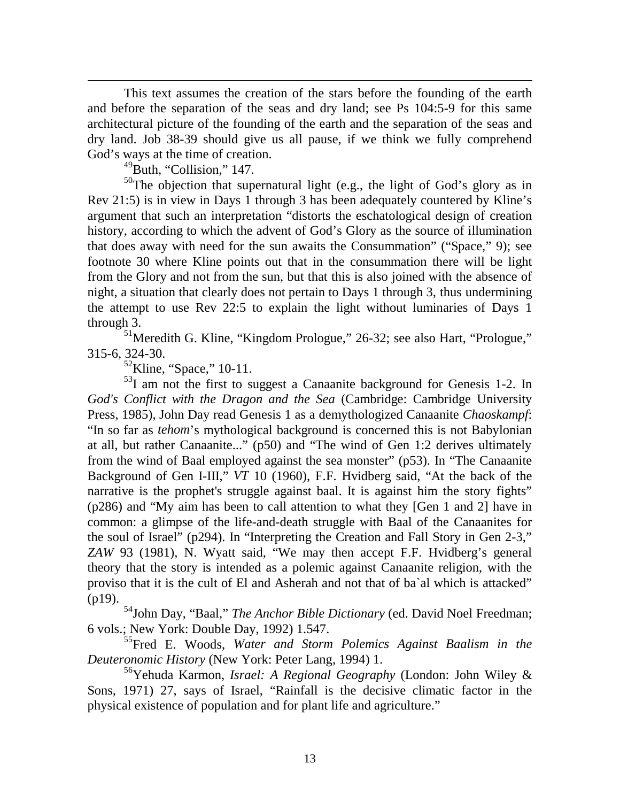This text assumes the creation of the stars before the founding of the earth and before the separation of the seas and dry land; see Ps 104:5-9 for this same architectural picture of the founding of the earth and the separation of the seas and dry land. Job 38-39 should give us all pause, if we think we fully comprehend God's ways at the time of creation.

 $^{49}$ Buth, "Collision," 147.

-

 $50$ The objection that supernatural light (e.g., the light of God's glory as in Rev 21:5) is in view in Days 1 through 3 has been adequately countered by Kline's argument that such an interpretation "distorts the eschatological design of creation history, according to which the advent of God's Glory as the source of illumination that does away with need for the sun awaits the Consummation" ("Space," 9); see footnote 30 where Kline points out that in the consummation there will be light from the Glory and not from the sun, but that this is also joined with the absence of night, a situation that clearly does not pertain to Days 1 through 3, thus undermining the attempt to use Rev 22:5 to explain the light without luminaries of Days 1 through 3.

51Meredith G. Kline, "Kingdom Prologue," 26-32; see also Hart, "Prologue," 315-6, 324-30.

 $52$ Kline, "Space," 10-11.

 $53$ I am not the first to suggest a Canaanite background for Genesis 1-2. In *God's Conflict with the Dragon and the Sea* (Cambridge: Cambridge University Press, 1985), John Day read Genesis 1 as a demythologized Canaanite *Chaoskampf*: "In so far as *tehom*'s mythological background is concerned this is not Babylonian at all, but rather Canaanite..." (p50) and "The wind of Gen 1:2 derives ultimately from the wind of Baal employed against the sea monster" (p53). In "The Canaanite Background of Gen I-III," *VT* 10 (1960), F.F. Hvidberg said, "At the back of the narrative is the prophet's struggle against baal. It is against him the story fights" (p286) and "My aim has been to call attention to what they [Gen 1 and 2] have in common: a glimpse of the life-and-death struggle with Baal of the Canaanites for the soul of Israel" (p294). In "Interpreting the Creation and Fall Story in Gen 2-3," *ZAW* 93 (1981), N. Wyatt said, "We may then accept F.F. Hvidberg's general theory that the story is intended as a polemic against Canaanite religion, with the proviso that it is the cult of El and Asherah and not that of ba`al which is attacked" (p19).

54John Day, "Baal," *The Anchor Bible Dictionary* (ed. David Noel Freedman; 6 vols.; New York: Double Day, 1992) 1.547.

55Fred E. Woods, *Water and Storm Polemics Against Baalism in the Deuteronomic History* (New York: Peter Lang, 1994) 1.

56Yehuda Karmon, *Israel: A Regional Geography* (London: John Wiley & Sons, 1971) 27, says of Israel, "Rainfall is the decisive climatic factor in the physical existence of population and for plant life and agriculture."